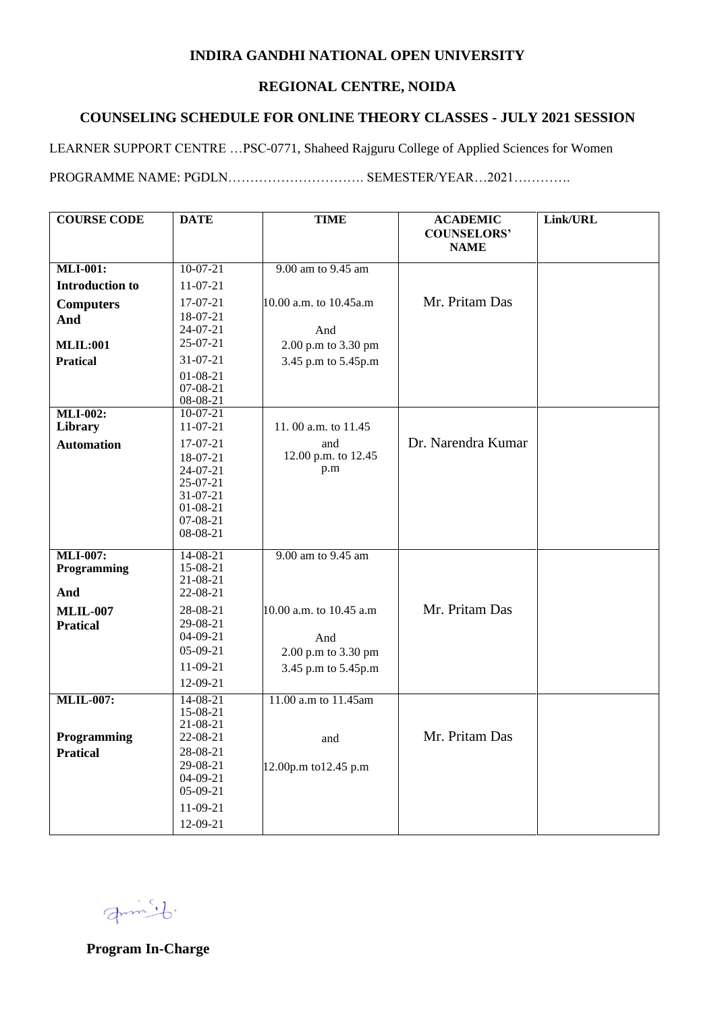### **INDIRA GANDHI NATIONAL OPEN UNIVERSITY**

#### **REGIONAL CENTRE, NOIDA**

## **COUNSELING SCHEDULE FOR ONLINE THEORY CLASSES - JULY 2021 SESSION**

LEARNER SUPPORT CENTRE …PSC-0771, Shaheed Rajguru College of Applied Sciences for Women

PROGRAMME NAME: PGDLN…………………………. SEMESTER/YEAR…2021………….

| <b>COURSE CODE</b>                 | <b>DATE</b>                | <b>TIME</b>             | <b>ACADEMIC</b>                   | Link/URL |
|------------------------------------|----------------------------|-------------------------|-----------------------------------|----------|
|                                    |                            |                         | <b>COUNSELORS'</b><br><b>NAME</b> |          |
|                                    |                            |                         |                                   |          |
| <b>MLI-001:</b>                    | $10-07-21$                 | 9.00 am to 9.45 am      |                                   |          |
| <b>Introduction to</b>             | $11-07-21$                 |                         |                                   |          |
| <b>Computers</b>                   | 17-07-21                   | 10.00 a.m. to 10.45 a.m | Mr. Pritam Das                    |          |
| And                                | 18-07-21                   |                         |                                   |          |
|                                    | 24-07-21                   | And                     |                                   |          |
| <b>MLIL:001</b>                    | 25-07-21                   | 2.00 p.m to 3.30 pm     |                                   |          |
| <b>Pratical</b>                    | 31-07-21                   | 3.45 p.m to 5.45p.m     |                                   |          |
|                                    | $01 - 08 - 21$<br>07-08-21 |                         |                                   |          |
|                                    | 08-08-21                   |                         |                                   |          |
| <b>MLI-002:</b>                    | $10-07-21$                 |                         |                                   |          |
| Library                            | $11-07-21$                 | 11.00 a.m. to 11.45     |                                   |          |
| <b>Automation</b>                  | 17-07-21                   | and                     | Dr. Narendra Kumar                |          |
|                                    | 18-07-21                   | 12.00 p.m. to 12.45     |                                   |          |
|                                    | $24-07-21$                 | p.m                     |                                   |          |
|                                    | 25-07-21<br>31-07-21       |                         |                                   |          |
|                                    | $01 - 08 - 21$             |                         |                                   |          |
|                                    | 07-08-21                   |                         |                                   |          |
|                                    | 08-08-21                   |                         |                                   |          |
| <b>MLI-007:</b>                    | $14 - 08 - 21$             | 9.00 am to 9.45 am      |                                   |          |
| Programming                        | 15-08-21                   |                         |                                   |          |
| And                                | 21-08-21<br>22-08-21       |                         |                                   |          |
|                                    |                            |                         | Mr. Pritam Das                    |          |
| <b>MLIL-007</b><br><b>Pratical</b> | 28-08-21<br>29-08-21       | 10.00 a.m. to 10.45 a.m |                                   |          |
|                                    | $04 - 09 - 21$             | And                     |                                   |          |
|                                    | 05-09-21                   | 2.00 p.m to 3.30 pm     |                                   |          |
|                                    | 11-09-21                   | 3.45 p.m to 5.45p.m     |                                   |          |
|                                    | 12-09-21                   |                         |                                   |          |
| <b>MLIL-007:</b>                   | $14 - 08 - 21$             | 11.00 a.m to 11.45am    |                                   |          |
|                                    | 15-08-21                   |                         |                                   |          |
| Programming                        | 21-08-21                   |                         | Mr. Pritam Das                    |          |
| <b>Pratical</b>                    | 22-08-21<br>28-08-21       | and                     |                                   |          |
|                                    | 29-08-21                   | 12.00p.m to12.45 p.m    |                                   |          |
|                                    | $04 - 09 - 21$             |                         |                                   |          |
|                                    | $05-09-21$                 |                         |                                   |          |
|                                    | 11-09-21                   |                         |                                   |          |
|                                    | 12-09-21                   |                         |                                   |          |

Jump.

**Program In-Charge**